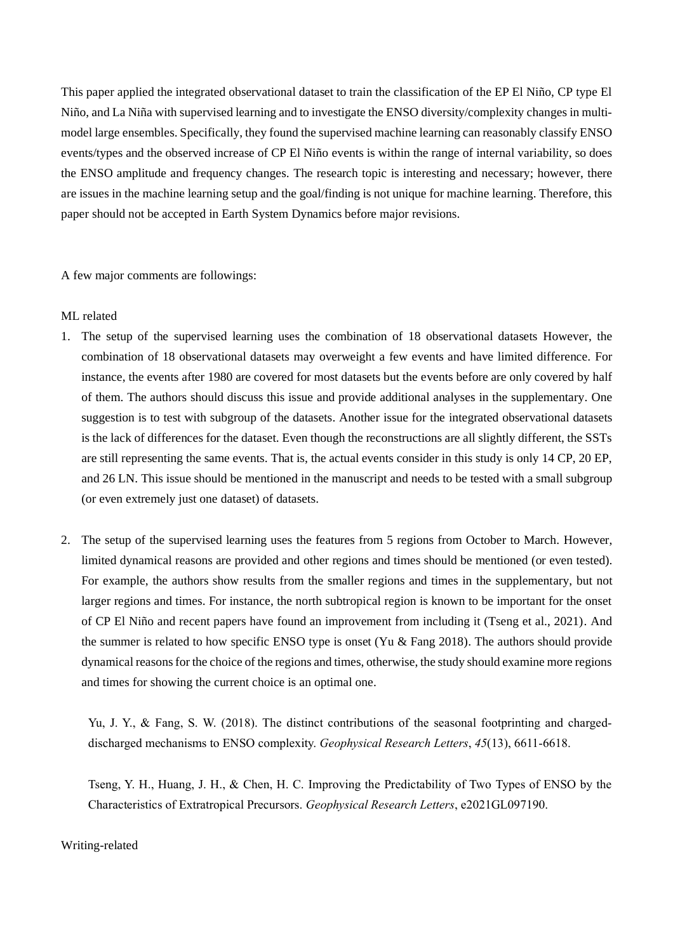This paper applied the integrated observational dataset to train the classification of the EP El Niño, CP type El Niño, and La Niña with supervised learning and to investigate the ENSO diversity/complexity changes in multimodel large ensembles. Specifically, they found the supervised machine learning can reasonably classify ENSO events/types and the observed increase of CP El Niño events is within the range of internal variability, so does the ENSO amplitude and frequency changes. The research topic is interesting and necessary; however, there are issues in the machine learning setup and the goal/finding is not unique for machine learning. Therefore, this paper should not be accepted in Earth System Dynamics before major revisions.

A few major comments are followings:

## ML related

- 1. The setup of the supervised learning uses the combination of 18 observational datasets However, the combination of 18 observational datasets may overweight a few events and have limited difference. For instance, the events after 1980 are covered for most datasets but the events before are only covered by half of them. The authors should discuss this issue and provide additional analyses in the supplementary. One suggestion is to test with subgroup of the datasets. Another issue for the integrated observational datasets is the lack of differences for the dataset. Even though the reconstructions are all slightly different, the SSTs are still representing the same events. That is, the actual events consider in this study is only 14 CP, 20 EP, and 26 LN. This issue should be mentioned in the manuscript and needs to be tested with a small subgroup (or even extremely just one dataset) of datasets.
- 2. The setup of the supervised learning uses the features from 5 regions from October to March. However, limited dynamical reasons are provided and other regions and times should be mentioned (or even tested). For example, the authors show results from the smaller regions and times in the supplementary, but not larger regions and times. For instance, the north subtropical region is known to be important for the onset of CP El Niño and recent papers have found an improvement from including it (Tseng et al., 2021). And the summer is related to how specific ENSO type is onset (Yu & Fang 2018). The authors should provide dynamical reasons for the choice of the regions and times, otherwise, the study should examine more regions and times for showing the current choice is an optimal one.

Yu, J. Y., & Fang, S. W. (2018). The distinct contributions of the seasonal footprinting and chargeddischarged mechanisms to ENSO complexity. *Geophysical Research Letters*, *45*(13), 6611-6618.

Tseng, Y. H., Huang, J. H., & Chen, H. C. Improving the Predictability of Two Types of ENSO by the Characteristics of Extratropical Precursors. *Geophysical Research Letters*, e2021GL097190.

## Writing-related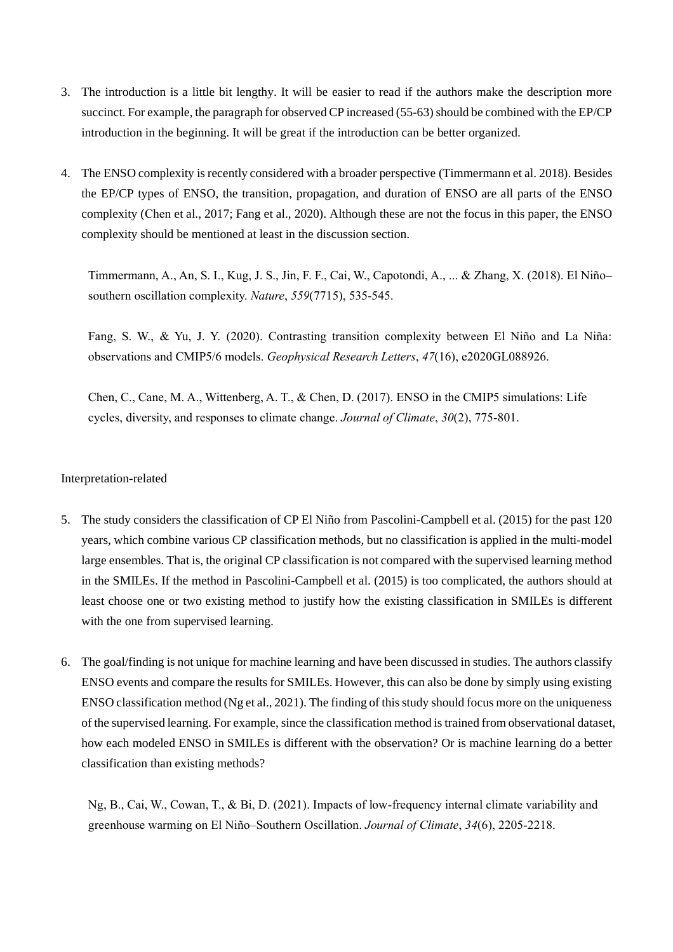- 3. The introduction is a little bit lengthy. It will be easier to read if the authors make the description more succinct. For example, the paragraph for observed CP increased (55-63) should be combined with the EP/CP introduction in the beginning. It will be great if the introduction can be better organized.
- 4. The ENSO complexity is recently considered with a broader perspective (Timmermann et al. 2018). Besides the EP/CP types of ENSO, the transition, propagation, and duration of ENSO are all parts of the ENSO complexity (Chen et al., 2017; Fang et al., 2020). Although these are not the focus in this paper, the ENSO complexity should be mentioned at least in the discussion section.

Timmermann, A., An, S. I., Kug, J. S., Jin, F. F., Cai, W., Capotondi, A., ... & Zhang, X. (2018). El Niño– southern oscillation complexity. *Nature*, *559*(7715), 535-545.

Fang, S. W., & Yu, J. Y. (2020). Contrasting transition complexity between El Niño and La Niña: observations and CMIP5/6 models. *Geophysical Research Letters*, *47*(16), e2020GL088926.

Chen, C., Cane, M. A., Wittenberg, A. T., & Chen, D. (2017). ENSO in the CMIP5 simulations: Life cycles, diversity, and responses to climate change. *Journal of Climate*, *30*(2), 775-801.

## Interpretation-related

- 5. The study considers the classification of CP El Niño from Pascolini-Campbell et al. (2015) for the past 120 years, which combine various CP classification methods, but no classification is applied in the multi-model large ensembles. That is, the original CP classification is not compared with the supervised learning method in the SMILEs. If the method in Pascolini-Campbell et al. (2015) is too complicated, the authors should at least choose one or two existing method to justify how the existing classification in SMILEs is different with the one from supervised learning.
- 6. The goal/finding is not unique for machine learning and have been discussed in studies. The authors classify ENSO events and compare the results for SMILEs. However, this can also be done by simply using existing ENSO classification method (Ng et al., 2021). The finding of this study should focus more on the uniqueness of the supervised learning. For example, since the classification method is trained from observational dataset, how each modeled ENSO in SMILEs is different with the observation? Or is machine learning do a better classification than existing methods?

Ng, B., Cai, W., Cowan, T., & Bi, D. (2021). Impacts of low-frequency internal climate variability and greenhouse warming on El Niño–Southern Oscillation. *Journal of Climate*, *34*(6), 2205-2218.